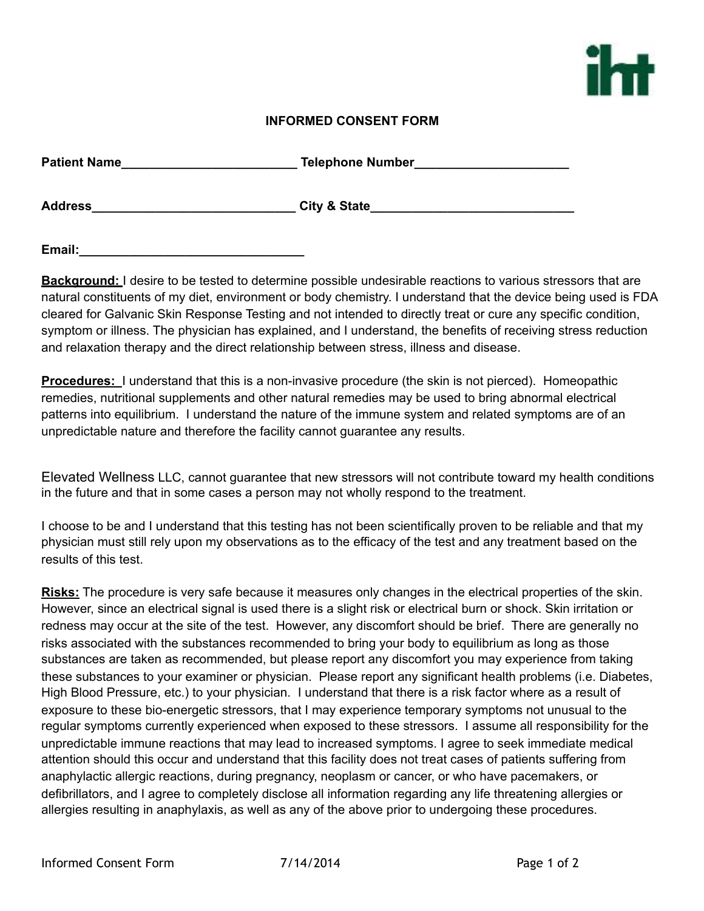

## **INFORMED CONSENT FORM**

| <b>Patient Name</b> | <b>Telephone Number</b> |
|---------------------|-------------------------|
| <b>Address</b>      | <b>City &amp; State</b> |

**Email:** 

**Background:** I desire to be tested to determine possible undesirable reactions to various stressors that are natural constituents of my diet, environment or body chemistry. I understand that the device being used is FDA cleared for Galvanic Skin Response Testing and not intended to directly treat or cure any specific condition, symptom or illness. The physician has explained, and I understand, the benefits of receiving stress reduction and relaxation therapy and the direct relationship between stress, illness and disease.

**Procedures:** I understand that this is a non-invasive procedure (the skin is not pierced). Homeopathic remedies, nutritional supplements and other natural remedies may be used to bring abnormal electrical patterns into equilibrium. I understand the nature of the immune system and related symptoms are of an unpredictable nature and therefore the facility cannot guarantee any results.

Elevated Wellness LLC, cannot guarantee that new stressors will not contribute toward my health conditions in the future and that in some cases a person may not wholly respond to the treatment.

I choose to be and I understand that this testing has not been scientifically proven to be reliable and that my physician must still rely upon my observations as to the efficacy of the test and any treatment based on the results of this test.

**Risks:** The procedure is very safe because it measures only changes in the electrical properties of the skin. However, since an electrical signal is used there is a slight risk or electrical burn or shock. Skin irritation or redness may occur at the site of the test. However, any discomfort should be brief. There are generally no risks associated with the substances recommended to bring your body to equilibrium as long as those substances are taken as recommended, but please report any discomfort you may experience from taking these substances to your examiner or physician. Please report any significant health problems (i.e. Diabetes, High Blood Pressure, etc.) to your physician. I understand that there is a risk factor where as a result of exposure to these bio-energetic stressors, that I may experience temporary symptoms not unusual to the regular symptoms currently experienced when exposed to these stressors. I assume all responsibility for the unpredictable immune reactions that may lead to increased symptoms. I agree to seek immediate medical attention should this occur and understand that this facility does not treat cases of patients suffering from anaphylactic allergic reactions, during pregnancy, neoplasm or cancer, or who have pacemakers, or defibrillators, and I agree to completely disclose all information regarding any life threatening allergies or allergies resulting in anaphylaxis, as well as any of the above prior to undergoing these procedures.